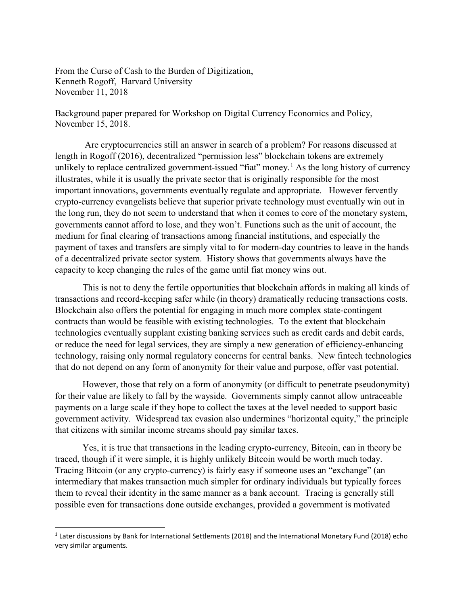From the Curse of Cash to the Burden of Digitization, Kenneth Rogoff, Harvard University November 11, 2018

Background paper prepared for Workshop on Digital Currency Economics and Policy, November 15, 2018.

Are cryptocurrencies still an answer in search of a problem? For reasons discussed at length in Rogoff (2016), decentralized "permission less" blockchain tokens are extremely unlikely to replace centralized government-issued "fiat" money.<sup>[1](#page-0-0)</sup> As the long history of currency illustrates, while it is usually the private sector that is originally responsible for the most important innovations, governments eventually regulate and appropriate. However fervently crypto-currency evangelists believe that superior private technology must eventually win out in the long run, they do not seem to understand that when it comes to core of the monetary system, governments cannot afford to lose, and they won't. Functions such as the unit of account, the medium for final clearing of transactions among financial institutions, and especially the payment of taxes and transfers are simply vital to for modern-day countries to leave in the hands of a decentralized private sector system. History shows that governments always have the capacity to keep changing the rules of the game until fiat money wins out.

This is not to deny the fertile opportunities that blockchain affords in making all kinds of transactions and record-keeping safer while (in theory) dramatically reducing transactions costs. Blockchain also offers the potential for engaging in much more complex state-contingent contracts than would be feasible with existing technologies. To the extent that blockchain technologies eventually supplant existing banking services such as credit cards and debit cards, or reduce the need for legal services, they are simply a new generation of efficiency-enhancing technology, raising only normal regulatory concerns for central banks. New fintech technologies that do not depend on any form of anonymity for their value and purpose, offer vast potential.

However, those that rely on a form of anonymity (or difficult to penetrate pseudonymity) for their value are likely to fall by the wayside. Governments simply cannot allow untraceable payments on a large scale if they hope to collect the taxes at the level needed to support basic government activity. Widespread tax evasion also undermines "horizontal equity," the principle that citizens with similar income streams should pay similar taxes.

Yes, it is true that transactions in the leading crypto-currency, Bitcoin, can in theory be traced, though if it were simple, it is highly unlikely Bitcoin would be worth much today. Tracing Bitcoin (or any crypto-currency) is fairly easy if someone uses an "exchange" (an intermediary that makes transaction much simpler for ordinary individuals but typically forces them to reveal their identity in the same manner as a bank account. Tracing is generally still possible even for transactions done outside exchanges, provided a government is motivated

<span id="page-0-0"></span> <sup>1</sup> Later discussions by Bank for International Settlements (2018) and the International Monetary Fund (2018) echo very similar arguments.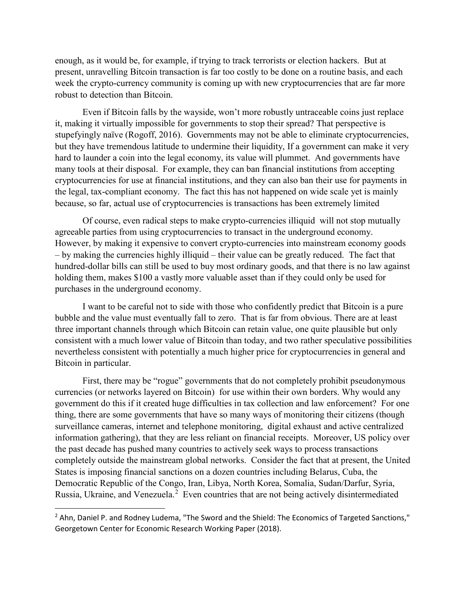enough, as it would be, for example, if trying to track terrorists or election hackers. But at present, unravelling Bitcoin transaction is far too costly to be done on a routine basis, and each week the crypto-currency community is coming up with new cryptocurrencies that are far more robust to detection than Bitcoin.

Even if Bitcoin falls by the wayside, won't more robustly untraceable coins just replace it, making it virtually impossible for governments to stop their spread? That perspective is stupefyingly naïve (Rogoff, 2016). Governments may not be able to eliminate cryptocurrencies, but they have tremendous latitude to undermine their liquidity, If a government can make it very hard to launder a coin into the legal economy, its value will plummet. And governments have many tools at their disposal. For example, they can ban financial institutions from accepting cryptocurrencies for use at financial institutions, and they can also ban their use for payments in the legal, tax-compliant economy. The fact this has not happened on wide scale yet is mainly because, so far, actual use of cryptocurrencies is transactions has been extremely limited

Of course, even radical steps to make crypto-currencies illiquid will not stop mutually agreeable parties from using cryptocurrencies to transact in the underground economy. However, by making it expensive to convert crypto-currencies into mainstream economy goods – by making the currencies highly illiquid – their value can be greatly reduced. The fact that hundred-dollar bills can still be used to buy most ordinary goods, and that there is no law against holding them, makes \$100 a vastly more valuable asset than if they could only be used for purchases in the underground economy.

I want to be careful not to side with those who confidently predict that Bitcoin is a pure bubble and the value must eventually fall to zero. That is far from obvious. There are at least three important channels through which Bitcoin can retain value, one quite plausible but only consistent with a much lower value of Bitcoin than today, and two rather speculative possibilities nevertheless consistent with potentially a much higher price for cryptocurrencies in general and Bitcoin in particular.

First, there may be "rogue" governments that do not completely prohibit pseudonymous currencies (or networks layered on Bitcoin) for use within their own borders. Why would any government do this if it created huge difficulties in tax collection and law enforcement? For one thing, there are some governments that have so many ways of monitoring their citizens (though surveillance cameras, internet and telephone monitoring, digital exhaust and active centralized information gathering), that they are less reliant on financial receipts. Moreover, US policy over the past decade has pushed many countries to actively seek ways to process transactions completely outside the mainstream global networks. Consider the fact that at present, the United States is imposing financial sanctions on a dozen countries including Belarus, Cuba, the Democratic Republic of the Congo, Iran, Libya, North Korea, Somalia, Sudan/Darfur, Syria, Russia, Ukraine, and Venezuela.<sup>[2](#page-1-0)</sup> Even countries that are not being actively disintermediated

<span id="page-1-0"></span><sup>&</sup>lt;sup>2</sup> Ahn, Daniel P. and Rodney Ludema, "The Sword and the Shield: The Economics of Targeted Sanctions," Georgetown Center for Economic Research Working Paper (2018).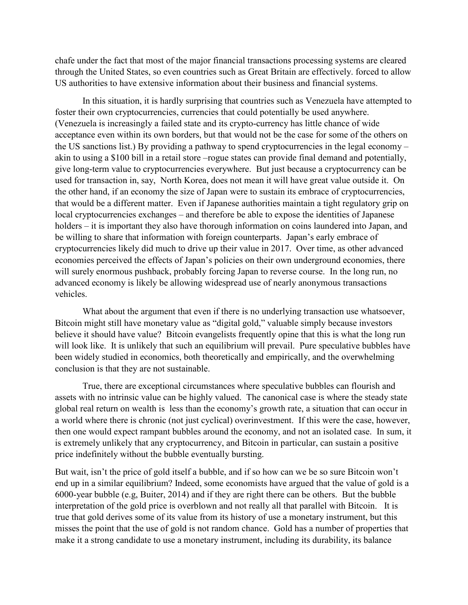chafe under the fact that most of the major financial transactions processing systems are cleared through the United States, so even countries such as Great Britain are effectively. forced to allow US authorities to have extensive information about their business and financial systems.

In this situation, it is hardly surprising that countries such as Venezuela have attempted to foster their own cryptocurrencies, currencies that could potentially be used anywhere. (Venezuela is increasingly a failed state and its crypto-currency has little chance of wide acceptance even within its own borders, but that would not be the case for some of the others on the US sanctions list.) By providing a pathway to spend cryptocurrencies in the legal economy – akin to using a \$100 bill in a retail store –rogue states can provide final demand and potentially, give long-term value to cryptocurrencies everywhere. But just because a cryptocurrency can be used for transaction in, say, North Korea, does not mean it will have great value outside it. On the other hand, if an economy the size of Japan were to sustain its embrace of cryptocurrencies, that would be a different matter. Even if Japanese authorities maintain a tight regulatory grip on local cryptocurrencies exchanges – and therefore be able to expose the identities of Japanese holders – it is important they also have thorough information on coins laundered into Japan, and be willing to share that information with foreign counterparts. Japan's early embrace of cryptocurrencies likely did much to drive up their value in 2017. Over time, as other advanced economies perceived the effects of Japan's policies on their own underground economies, there will surely enormous pushback, probably forcing Japan to reverse course. In the long run, no advanced economy is likely be allowing widespread use of nearly anonymous transactions vehicles.

What about the argument that even if there is no underlying transaction use whatsoever, Bitcoin might still have monetary value as "digital gold," valuable simply because investors believe it should have value? Bitcoin evangelists frequently opine that this is what the long run will look like. It is unlikely that such an equilibrium will prevail. Pure speculative bubbles have been widely studied in economics, both theoretically and empirically, and the overwhelming conclusion is that they are not sustainable.

True, there are exceptional circumstances where speculative bubbles can flourish and assets with no intrinsic value can be highly valued. The canonical case is where the steady state global real return on wealth is less than the economy's growth rate, a situation that can occur in a world where there is chronic (not just cyclical) overinvestment. If this were the case, however, then one would expect rampant bubbles around the economy, and not an isolated case. In sum, it is extremely unlikely that any cryptocurrency, and Bitcoin in particular, can sustain a positive price indefinitely without the bubble eventually bursting.

But wait, isn't the price of gold itself a bubble, and if so how can we be so sure Bitcoin won't end up in a similar equilibrium? Indeed, some economists have argued that the value of gold is a 6000-year bubble (e.g, Buiter, 2014) and if they are right there can be others. But the bubble interpretation of the gold price is overblown and not really all that parallel with Bitcoin. It is true that gold derives some of its value from its history of use a monetary instrument, but this misses the point that the use of gold is not random chance. Gold has a number of properties that make it a strong candidate to use a monetary instrument, including its durability, its balance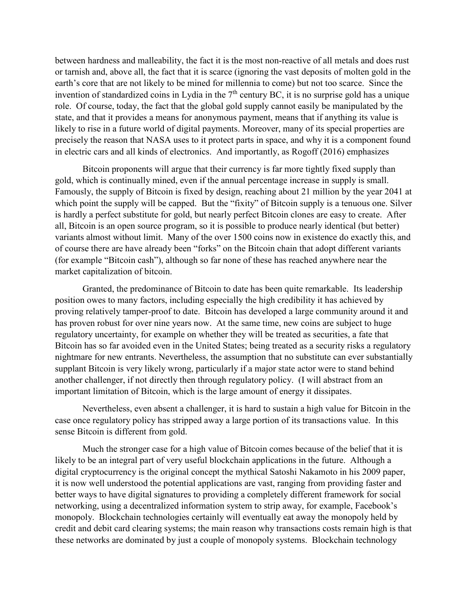between hardness and malleability, the fact it is the most non-reactive of all metals and does rust or tarnish and, above all, the fact that it is scarce (ignoring the vast deposits of molten gold in the earth's core that are not likely to be mined for millennia to come) but not too scarce. Since the invention of standardized coins in Lydia in the 7<sup>th</sup> century BC, it is no surprise gold has a unique role. Of course, today, the fact that the global gold supply cannot easily be manipulated by the state, and that it provides a means for anonymous payment, means that if anything its value is likely to rise in a future world of digital payments. Moreover, many of its special properties are precisely the reason that NASA uses to it protect parts in space, and why it is a component found in electric cars and all kinds of electronics. And importantly, as Rogoff (2016) emphasizes

Bitcoin proponents will argue that their currency is far more tightly fixed supply than gold, which is continually mined, even if the annual percentage increase in supply is small. Famously, the supply of Bitcoin is fixed by design, reaching about 21 million by the year 2041 at which point the supply will be capped. But the "fixity" of Bitcoin supply is a tenuous one. Silver is hardly a perfect substitute for gold, but nearly perfect Bitcoin clones are easy to create. After all, Bitcoin is an open source program, so it is possible to produce nearly identical (but better) variants almost without limit. Many of the over 1500 coins now in existence do exactly this, and of course there are have already been "forks" on the Bitcoin chain that adopt different variants (for example "Bitcoin cash"), although so far none of these has reached anywhere near the market capitalization of bitcoin.

Granted, the predominance of Bitcoin to date has been quite remarkable. Its leadership position owes to many factors, including especially the high credibility it has achieved by proving relatively tamper-proof to date. Bitcoin has developed a large community around it and has proven robust for over nine years now. At the same time, new coins are subject to huge regulatory uncertainty, for example on whether they will be treated as securities, a fate that Bitcoin has so far avoided even in the United States; being treated as a security risks a regulatory nightmare for new entrants. Nevertheless, the assumption that no substitute can ever substantially supplant Bitcoin is very likely wrong, particularly if a major state actor were to stand behind another challenger, if not directly then through regulatory policy. (I will abstract from an important limitation of Bitcoin, which is the large amount of energy it dissipates.

Nevertheless, even absent a challenger, it is hard to sustain a high value for Bitcoin in the case once regulatory policy has stripped away a large portion of its transactions value. In this sense Bitcoin is different from gold.

Much the stronger case for a high value of Bitcoin comes because of the belief that it is likely to be an integral part of very useful blockchain applications in the future. Although a digital cryptocurrency is the original concept the mythical Satoshi Nakamoto in his 2009 paper, it is now well understood the potential applications are vast, ranging from providing faster and better ways to have digital signatures to providing a completely different framework for social networking, using a decentralized information system to strip away, for example, Facebook's monopoly. Blockchain technologies certainly will eventually eat away the monopoly held by credit and debit card clearing systems; the main reason why transactions costs remain high is that these networks are dominated by just a couple of monopoly systems. Blockchain technology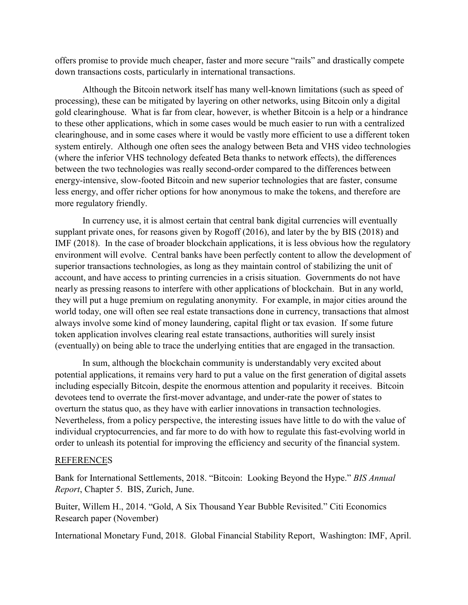offers promise to provide much cheaper, faster and more secure "rails" and drastically compete down transactions costs, particularly in international transactions.

Although the Bitcoin network itself has many well-known limitations (such as speed of processing), these can be mitigated by layering on other networks, using Bitcoin only a digital gold clearinghouse. What is far from clear, however, is whether Bitcoin is a help or a hindrance to these other applications, which in some cases would be much easier to run with a centralized clearinghouse, and in some cases where it would be vastly more efficient to use a different token system entirely. Although one often sees the analogy between Beta and VHS video technologies (where the inferior VHS technology defeated Beta thanks to network effects), the differences between the two technologies was really second-order compared to the differences between energy-intensive, slow-footed Bitcoin and new superior technologies that are faster, consume less energy, and offer richer options for how anonymous to make the tokens, and therefore are more regulatory friendly.

In currency use, it is almost certain that central bank digital currencies will eventually supplant private ones, for reasons given by Rogoff (2016), and later by the by BIS (2018) and IMF (2018). In the case of broader blockchain applications, it is less obvious how the regulatory environment will evolve. Central banks have been perfectly content to allow the development of superior transactions technologies, as long as they maintain control of stabilizing the unit of account, and have access to printing currencies in a crisis situation. Governments do not have nearly as pressing reasons to interfere with other applications of blockchain. But in any world, they will put a huge premium on regulating anonymity. For example, in major cities around the world today, one will often see real estate transactions done in currency, transactions that almost always involve some kind of money laundering, capital flight or tax evasion. If some future token application involves clearing real estate transactions, authorities will surely insist (eventually) on being able to trace the underlying entities that are engaged in the transaction.

In sum, although the blockchain community is understandably very excited about potential applications, it remains very hard to put a value on the first generation of digital assets including especially Bitcoin, despite the enormous attention and popularity it receives. Bitcoin devotees tend to overrate the first-mover advantage, and under-rate the power of states to overturn the status quo, as they have with earlier innovations in transaction technologies. Nevertheless, from a policy perspective, the interesting issues have little to do with the value of individual cryptocurrencies, and far more to do with how to regulate this fast-evolving world in order to unleash its potential for improving the efficiency and security of the financial system.

## REFERENCES

Bank for International Settlements, 2018. "Bitcoin: Looking Beyond the Hype." *BIS Annual Report*, Chapter 5. BIS, Zurich, June.

Buiter, Willem H., 2014. "Gold, A Six Thousand Year Bubble Revisited." Citi Economics Research paper (November)

International Monetary Fund, 2018. Global Financial Stability Report, Washington: IMF, April.